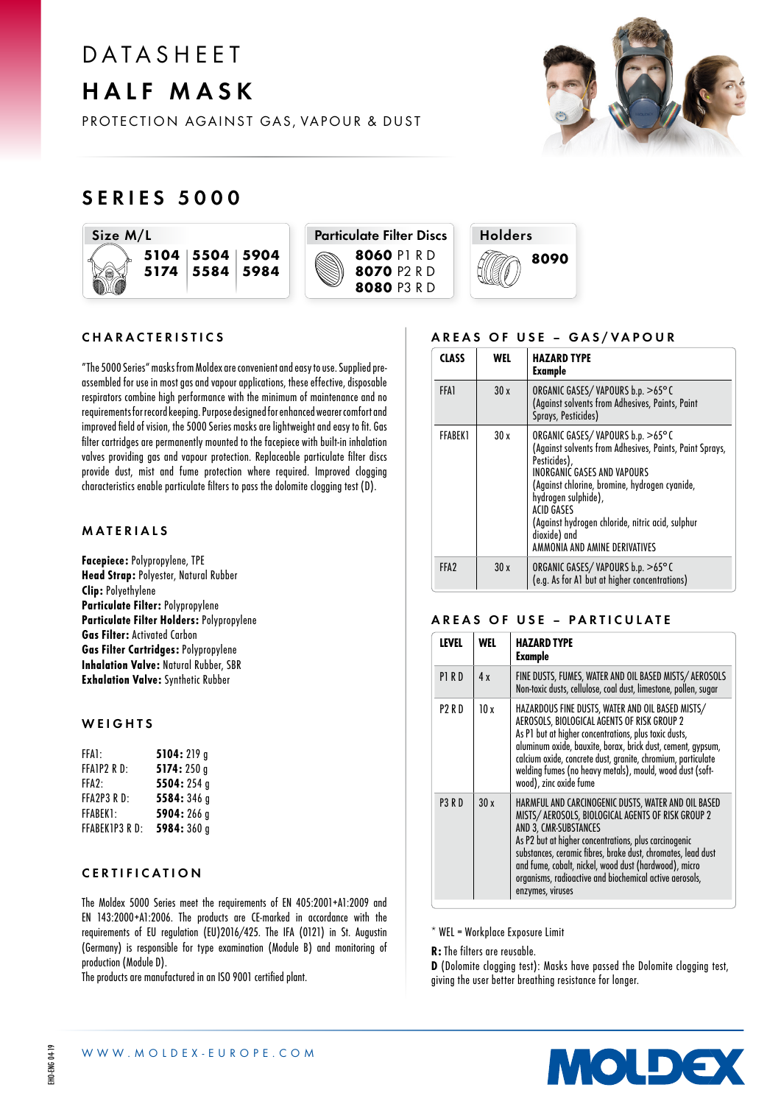# **DATASHFFT** HALF MASK



PROTECTION AGAINST GAS, VAPOUR & DUST

# SERIES 5000







#### CHARACTERISTICS

"The 5000 Series" masks from Moldex are convenient and easy to use. Supplied preassembled for use in most gas and vapour applications, these effective, disposable respirators combine high performance with the minimum of maintenance and no requirements for record keeping. Purpose designed for enhanced wearer comfort and improved field of vision, the 5000 Series masks are lightweight and easy to fit. Gas filter cartridges are permanently mounted to the facepiece with built-in inhalation valves providing gas and vapour protection. Replaceable particulate filter discs provide dust, mist and fume protection where required. Improved clogging characteristics enable particulate filters to pass the dolomite clogging test (D).

#### MATERIALS

Facepiece: Polypropylene, TPE Head Strap: Polyester, Natural Rubber Clip: Polyethylene Particulate Filter: Polypropylene Particulate Filter Holders: Polypropylene Gas Filter: Activated Carbon Gas Filter Cartridges: Polypropylene Inhalation Valve: Natural Rubber, SBR Exhalation Valve: Synthetic Rubber

### **WEIGHTS**

| FFA1:          | 5104:219 g  |
|----------------|-------------|
| FFAIP2 RD:     | 5174: 250 g |
| FFA2:          | 5504:254 g  |
| FFA2P3 R D:    | 5584:346 g  |
| FFABEK1:       | 5904:266 g  |
| FFABEK1P3 R D: | 5984:360g   |

#### CERTIFICATION

The Moldex 5000 Series meet the requirements of EN 405:2001+A1:2009 and EN 143:2000+A1:2006. The products are CE-marked in accordance with the requirements of EU regulation (EU)2016/425. The IFA (0121) in St. Augustin (Germany) is responsible for type examination (Module B) and monitoring of production (Module D).

The products are manufactured in an ISO 9001 certified plant.

# AREAS OF USE - GAS/VAPOUR

| <b>CLASS</b>     | WEL  | <b>HAZARD TYPE</b><br>Example                                                                                                                                                                                                                                                                                                                       |
|------------------|------|-----------------------------------------------------------------------------------------------------------------------------------------------------------------------------------------------------------------------------------------------------------------------------------------------------------------------------------------------------|
| <b>FFA1</b>      | 30x  | ORGANIC GASES/VAPOURS b.p. >65°C<br>(Against solvents from Adhesives, Paints, Paint<br>Sprays, Pesticides)                                                                                                                                                                                                                                          |
| FFARFK1          | 30 x | ORGANIC GASES/VAPOURS b.p. >65°C<br>(Against solvents from Adhesives, Paints, Paint Sprays,<br>Pesticides),<br><b>INORGANIC GASES AND VAPOURS</b><br>(Against chlorine, bromine, hydrogen cyanide,<br>hydrogen sulphide),<br><b>ACID GASES</b><br>(Against hydrogen chloride, nitric acid, sulphur<br>dioxide) and<br>AMMONIA AND AMINE DERIVATIVES |
| FFA <sub>2</sub> | 30x  | ORGANIC GASES/VAPOURS b.p. >65°C<br>(e.g. As for A1 but at higher concentrations)                                                                                                                                                                                                                                                                   |

### AREAS OF USE – PARTICULATE

| <b>LEVEL</b>  | <b>WEL</b> | <b>HAZARD TYPE</b><br>Example                                                                                                                                                                                                                                                                                                                                                                      |
|---------------|------------|----------------------------------------------------------------------------------------------------------------------------------------------------------------------------------------------------------------------------------------------------------------------------------------------------------------------------------------------------------------------------------------------------|
| P1RD          | 4x         | FINE DUSTS, FUMES, WATER AND OIL BASED MISTS/AEROSOLS<br>Non-toxic dusts, cellulose, coal dust, limestone, pollen, sugar                                                                                                                                                                                                                                                                           |
| P2 R D        | 10x        | HAZARDOUS FINE DUSTS, WATER AND OIL BASED MISTS/<br>AEROSOLS, BIOLOGICAL AGENTS OF RISK GROUP 2<br>As P1 but at higher concentrations, plus toxic dusts,<br>aluminum oxide, bauxite, borax, brick dust, cement, gypsum,<br>calcium oxide, concrete dust, granite, chromium, particulate<br>welding fumes (no heavy metals), mould, wood dust (soft-<br>wood), zinc oxide fume                      |
| <b>P3 R D</b> | 30x        | HARMFUL AND CARCINOGENIC DUSTS, WATER AND OIL BASED<br>MISTS/AEROSOLS, BIOLOGICAL AGENTS OF RISK GROUP 2<br>AND 3. CMR-SUBSTANCES<br>As P2 but at higher concentrations, plus carcinogenic<br>substances, ceramic fibres, brake dust, chromates, lead dust<br>and fume, cobalt, nickel, wood dust (hardwood), micro<br>organisms, radioactive and biochemical active aerosols,<br>enzymes, viruses |

\* WEL = Workplace Exposure Limit

R: The filters are reusable.

D (Dolomite clogging test): Masks have passed the Dolomite clogging test, giving the user better breathing resistance for longer.